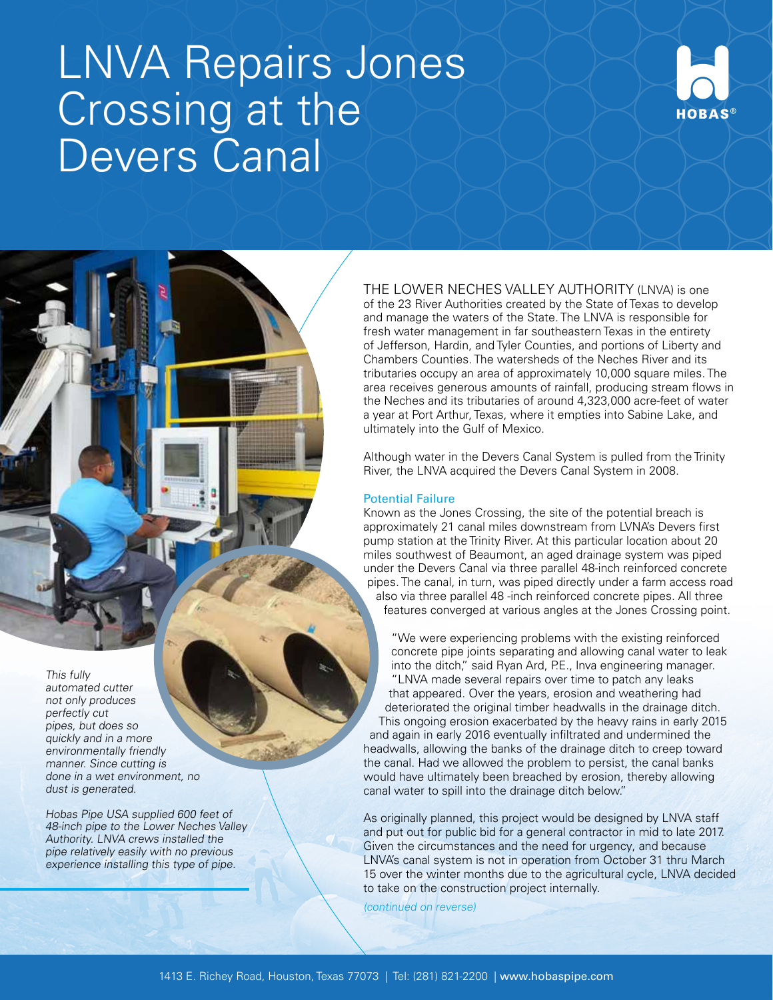# LNVA Repairs Jones Crossing at the Devers Canal



THE LOWER NECHES VALLEY AUTHORITY (LNVA) is one of the 23 River Authorities created by the State of Texas to develop and manage the waters of the State. The LNVA is responsible for fresh water management in far southeastern Texas in the entirety of Jefferson, Hardin, and Tyler Counties, and portions of Liberty and Chambers Counties. The watersheds of the Neches River and its tributaries occupy an area of approximately 10,000 square miles. The area receives generous amounts of rainfall, producing stream flows in the Neches and its tributaries of around 4,323,000 acre-feet of water a year at Port Arthur, Texas, where it empties into Sabine Lake, and ultimately into the Gulf of Mexico.

Although water in the Devers Canal System is pulled from the Trinity River, the LNVA acquired the Devers Canal System in 2008.

## Potential Failure

Known as the Jones Crossing, the site of the potential breach is approximately 21 canal miles downstream from LVNA's Devers first pump station at the Trinity River. At this particular location about 20 miles southwest of Beaumont, an aged drainage system was piped under the Devers Canal via three parallel 48-inch reinforced concrete pipes. The canal, in turn, was piped directly under a farm access road also via three parallel 48 -inch reinforced concrete pipes. All three features converged at various angles at the Jones Crossing point.

"We were experiencing problems with the existing reinforced concrete pipe joints separating and allowing canal water to leak into the ditch," said Ryan Ard, P.E., Inva engineering manager. "LNVA made several repairs over time to patch any leaks that appeared. Over the years, erosion and weathering had deteriorated the original timber headwalls in the drainage ditch. This ongoing erosion exacerbated by the heavy rains in early 2015 and again in early 2016 eventually infiltrated and undermined the headwalls, allowing the banks of the drainage ditch to creep toward the canal. Had we allowed the problem to persist, the canal banks would have ultimately been breached by erosion, thereby allowing canal water to spill into the drainage ditch below."

As originally planned, this project would be designed by LNVA staff and put out for public bid for a general contractor in mid to late 2017. Given the circumstances and the need for urgency, and because LNVA's canal system is not in operation from October 31 thru March 15 over the winter months due to the agricultural cycle, LNVA decided to take on the construction project internally.

(continued on reverse)

This fully automated cutter not only produces perfectly cut pipes, but does so quickly and in a more environmentally friendly manner. Since cutting is done in a wet environment, no dust is generated.

Hobas Pipe USA supplied 600 feet of 48-inch pipe to the Lower Neches Valley Authority. LNVA crews installed the pipe relatively easily with no previous experience installing this type of pipe.